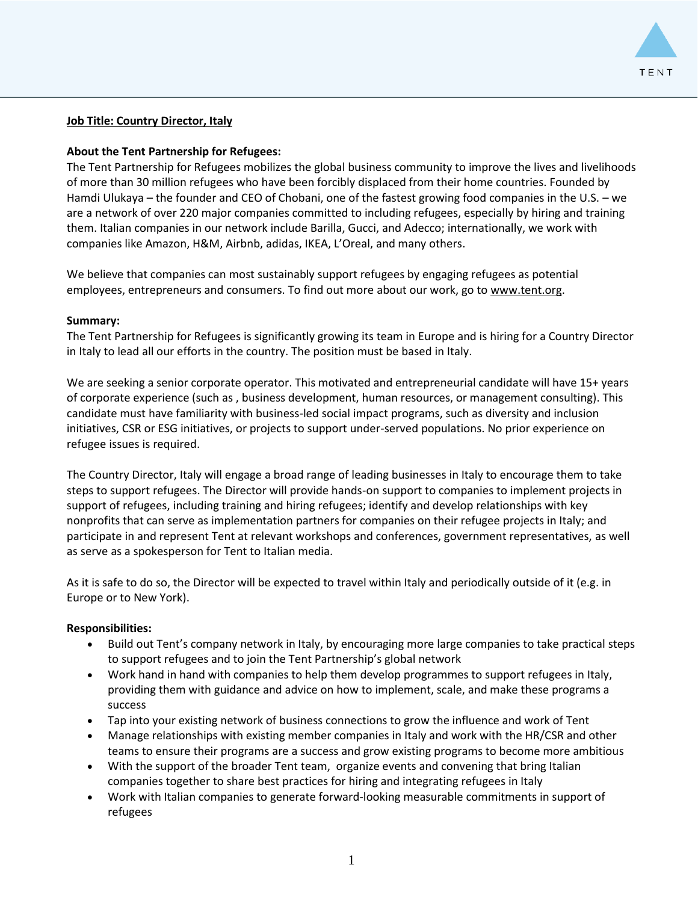

### **Job Title: Country Director, Italy**

### **About the Tent Partnership for Refugees:**

The Tent Partnership for Refugees mobilizes the global business community to improve the lives and livelihoods of more than 30 million refugees who have been forcibly displaced from their home countries. Founded by Hamdi Ulukaya – the founder and CEO of Chobani, one of the fastest growing food companies in the U.S. – we are a network of over 220 major companies committed to including refugees, especially by hiring and training them. Italian companies in our network include Barilla, Gucci, and Adecco; internationally, we work with companies like Amazon, H&M, Airbnb, adidas, IKEA, L'Oreal, and many others.

We believe that companies can most sustainably support refugees by engaging refugees as potential employees, entrepreneurs and consumers. To find out more about our work, go to [www.tent.org.](http://www.tent.org/)

#### **Summary:**

The Tent Partnership for Refugees is significantly growing its team in Europe and is hiring for a Country Director in Italy to lead all our efforts in the country. The position must be based in Italy.

We are seeking a senior corporate operator. This motivated and entrepreneurial candidate will have 15+ years of corporate experience (such as , business development, human resources, or management consulting). This candidate must have familiarity with business-led social impact programs, such as diversity and inclusion initiatives, CSR or ESG initiatives, or projects to support under-served populations. No prior experience on refugee issues is required.

The Country Director, Italy will engage a broad range of leading businesses in Italy to encourage them to take steps to support refugees. The Director will provide hands-on support to companies to implement projects in support of refugees, including training and hiring refugees; identify and develop relationships with key nonprofits that can serve as implementation partners for companies on their refugee projects in Italy; and participate in and represent Tent at relevant workshops and conferences, government representatives, as well as serve as a spokesperson for Tent to Italian media.

As it is safe to do so, the Director will be expected to travel within Italy and periodically outside of it (e.g. in Europe or to New York).

#### **Responsibilities:**

- Build out Tent's company network in Italy, by encouraging more large companies to take practical steps to support refugees and to join the Tent Partnership's global network
- Work hand in hand with companies to help them develop programmes to support refugees in Italy, providing them with guidance and advice on how to implement, scale, and make these programs a success
- Tap into your existing network of business connections to grow the influence and work of Tent
- Manage relationships with existing member companies in Italy and work with the HR/CSR and other teams to ensure their programs are a success and grow existing programs to become more ambitious
- With the support of the broader Tent team, organize events and convening that bring Italian companies together to share best practices for hiring and integrating refugees in Italy
- Work with Italian companies to generate forward-looking measurable commitments in support of refugees